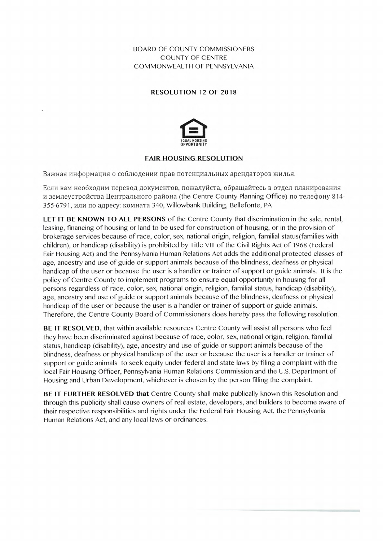**BOARD OF COUNTY COMMISSIONERS COUNTY OF CENTRE** COMMONWEALTH OF PENNSYLVANIA

## **RESOLUTION 12 OF 2018**



## **FAIR HOUSING RESOLUTION**

Важная информация о соблюдении прав потенциальных арендаторов жилья.

Если вам необходим перевод документов, пожалуйста, обращайтесь в отдел планирования и землеустройства Центрального района (the Centre County Planning Office) по телефону 814-355-6791, или по адресу: комната 340, Willowbank Building, Bellefonte, PA

LET IT BE KNOWN TO ALL PERSONS of the Centre County that discrimination in the sale, rental, leasing, financing of housing or land to be used for construction of housing, or in the provision of brokerage services because of race, color, sex, national origin, religion, familial status(families with children), or handicap (disability) is prohibited by Title VIII of the Civil Rights Act of 1968 (Federal Fair Housing Act) and the Pennsylvania Human Relations Act adds the additional protected classes of age, ancestry and use of guide or support animals because of the blindness, deafness or physical handicap of the user or because the user is a handler or trainer of support or guide animals. It is the policy of Centre County to implement programs to ensure equal opportunity in housing for all persons regardless of race, color, sex, national origin, religion, familial status, handicap (disability), age, ancestry and use of guide or support animals because of the blindness, deafness or physical handicap of the user or because the user is a handler or trainer of support or guide animals. Therefore, the Centre County Board of Commissioners does hereby pass the following resolution.

BE IT RESOLVED, that within available resources Centre County will assist all persons who feel they have been discriminated against because of race, color, sex, national origin, religion, familial status, handicap (disability), age, ancestry and use of guide or support animals because of the blindness, deafness or physical handicap of the user or because the user is a handler or trainer of support or guide animals to seek equity under federal and state laws by filing a complaint with the local Fair Housing Officer, Pennsylvania Human Relations Commission and the U.S. Department of Housing and Urban Development, whichever is chosen by the person filling the complaint.

BE IT FURTHER RESOLVED that Centre County shall make publically known this Resolution and through this publicity shall cause owners of real estate, developers, and builders to become aware of their respective responsibilities and rights under the Federal Fair Housing Act, the Pennsylvania Human Relations Act, and any local laws or ordinances.